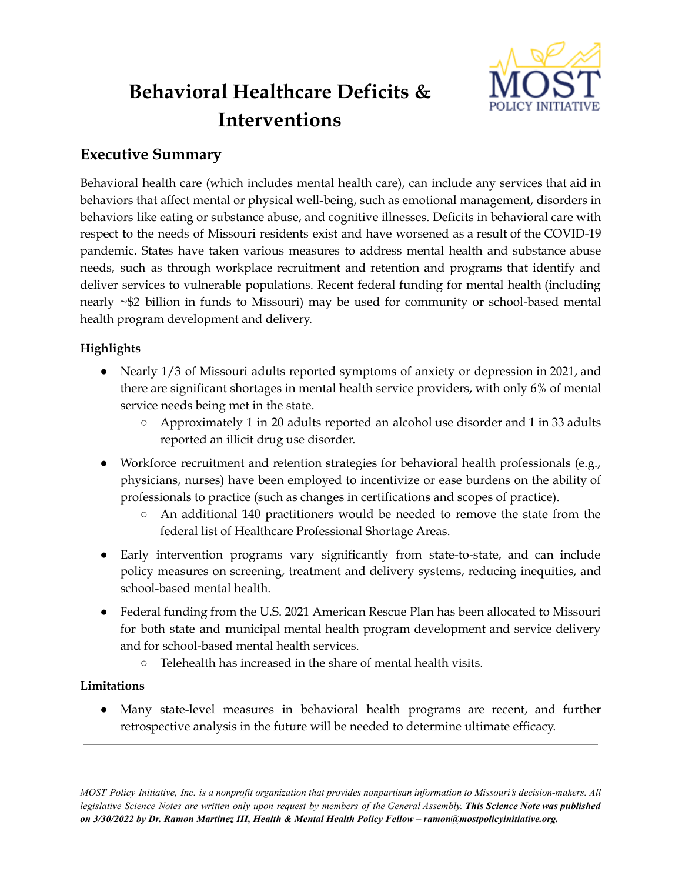

# **Behavioral Healthcare Deficits & Interventions**

# **Executive Summary**

Behavioral health care (which includes mental health care), can include any services that aid in behaviors that affect mental or physical well-being, such as emotional management, disorders in behaviors like eating or substance abuse, and cognitive illnesses. Deficits in behavioral care with respect to the needs of Missouri residents exist and have worsened as a result of the COVID-19 pandemic. States have taken various measures to address mental health and substance abuse needs, such as through workplace recruitment and retention and programs that identify and deliver services to vulnerable populations. Recent federal funding for mental health (including nearly ~\$2 billion in funds to Missouri) may be used for community or school-based mental health program development and delivery.

## **Highlights**

- Nearly 1/3 of Missouri adults reported symptoms of anxiety or depression in 2021, and there are significant shortages in mental health service providers, with only 6% of mental service needs being met in the state.
	- Approximately 1 in 20 adults reported an alcohol use disorder and 1 in 33 adults reported an illicit drug use disorder.
- Workforce recruitment and retention strategies for behavioral health professionals (e.g., physicians, nurses) have been employed to incentivize or ease burdens on the ability of professionals to practice (such as changes in certifications and scopes of practice).
	- An additional 140 practitioners would be needed to remove the state from the federal list of Healthcare Professional Shortage Areas.
- Early intervention programs vary significantly from state-to-state, and can include policy measures on screening, treatment and delivery systems, reducing inequities, and school-based mental health.
- Federal funding from the U.S. 2021 American Rescue Plan has been allocated to Missouri for both state and municipal mental health program development and service delivery and for school-based mental health services.
	- Telehealth has increased in the share of mental health visits.

## **Limitations**

● Many state-level measures in behavioral health programs are recent, and further retrospective analysis in the future will be needed to determine ultimate efficacy.

MOST Policy Initiative, Inc. is a nonprofit organization that provides nonpartisan information to Missouri's decision-makers. All legislative Science Notes are written only upon request by members of the General Assembly. This Science Note was published *on 3/30/2022 by Dr. Ramon Martinez III, Health & Mental Health Policy Fellow – ramon@mostpolicyinitiative.org.*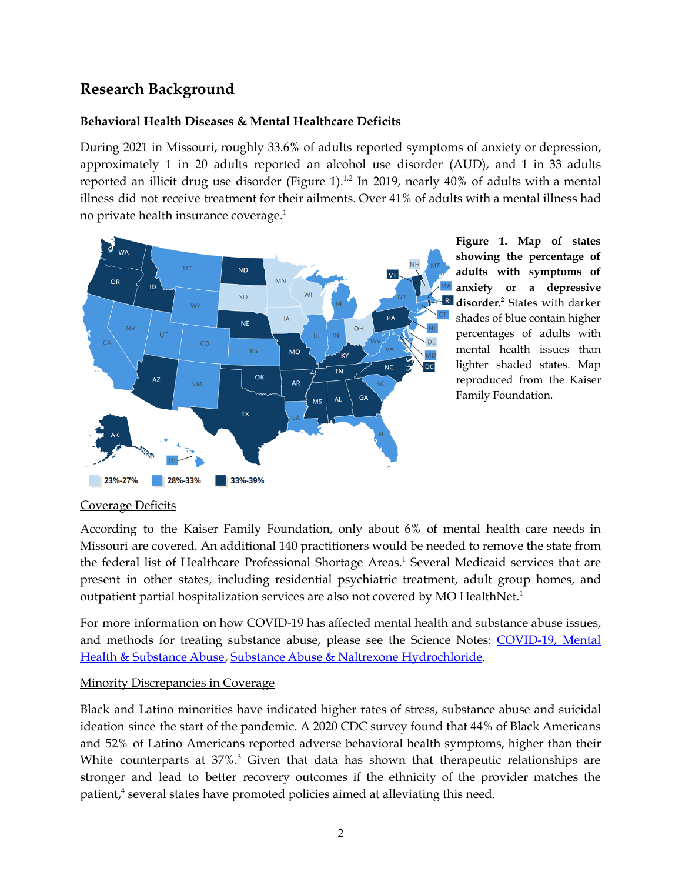# **Research Background**

#### **Behavioral Health Diseases & Mental Healthcare Deficits**

During 2021 in Missouri, roughly 33.6% of adults reported symptoms of anxiety or depression, approximately 1 in 20 adults reported an alcohol use disorder (AUD), and 1 in 33 adults reported an illicit drug use disorder (Figure  $1$ ).<sup>1,2</sup> In 2019, nearly 40% of adults with a mental illness did not receive treatment for their ailments. Over 41% of adults with a mental illness had no private health insurance coverage. 1



**Figure 1. Map of states showing the percentage of adults with symptoms of anxiety or a depressive disorder. <sup>2</sup>** States with darker shades of blue contain higher percentages of adults with mental health issues than lighter shaded states. Map reproduced from the Kaiser Family Foundation.

## Coverage Deficits

According to the Kaiser Family Foundation, only about 6% of mental health care needs in Missouri are covered. An additional 140 practitioners would be needed to remove the state from the federal list of Healthcare Professional Shortage Areas. <sup>1</sup> Several Medicaid services that are present in other states, including residential psychiatric treatment, adult group homes, and outpatient partial hospitalization services are also not covered by MO HealthNet.<sup>1</sup>

For more information on how COVID-19 has affected mental health and substance abuse issues, and methods for treating substance abuse, please see the Science Notes: [COVID-19,](https://mostpolicyinitiative.org/science-note/covid-19-mental-health-substance-abuse/) Mental Health & [Substance](https://mostpolicyinitiative.org/science-note/covid-19-mental-health-substance-abuse/) Abuse, Substance Abuse & Naltrexone [Hydrochloride](https://mostpolicyinitiative.org/science-note/substance-abuse-naltrexone-hydrochloride/).

#### Minority Discrepancies in Coverage

Black and Latino minorities have indicated higher rates of stress, substance abuse and suicidal ideation since the start of the pandemic. A 2020 CDC survey found that 44% of Black Americans and 52% of Latino Americans reported adverse behavioral health symptoms, higher than their White counterparts at 37%.<sup>3</sup> Given that data has shown that therapeutic relationships are stronger and lead to better recovery outcomes if the ethnicity of the provider matches the patient, <sup>4</sup> several states have promoted policies aimed at alleviating this need.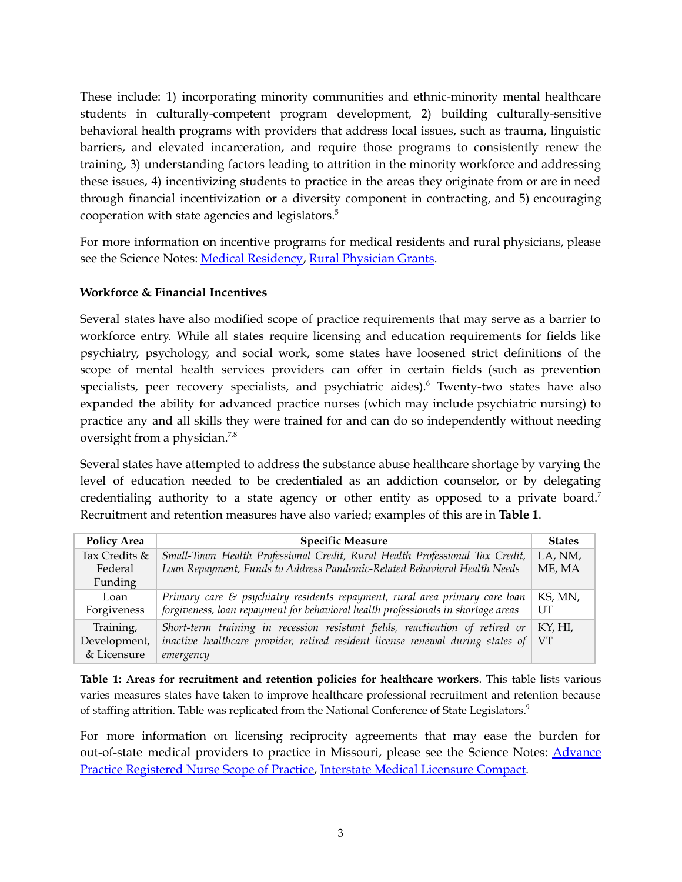These include: 1) incorporating minority communities and ethnic-minority mental healthcare students in culturally-competent program development, 2) building culturally-sensitive behavioral health programs with providers that address local issues, such as trauma, linguistic barriers, and elevated incarceration, and require those programs to consistently renew the training, 3) understanding factors leading to attrition in the minority workforce and addressing these issues, 4) incentivizing students to practice in the areas they originate from or are in need through financial incentivization or a diversity component in contracting, and 5) encouraging cooperation with state agencies and legislators. $5$ 

For more information on incentive programs for medical residents and rural physicians, please see the Science Notes: Medical [Residency](https://mostpolicyinitiative.org/science-note/medical-residency/), Rural [Physician](https://mostpolicyinitiative.org/science-note/rural-physician-grant-program/) Grants.

#### **Workforce & Financial Incentives**

Several states have also modified scope of practice requirements that may serve as a barrier to workforce entry. While all states require licensing and education requirements for fields like psychiatry, psychology, and social work, some states have loosened strict definitions of the scope of mental health services providers can offer in certain fields (such as prevention specialists, peer recovery specialists, and psychiatric aides). <sup>6</sup> Twenty-two states have also expanded the ability for advanced practice nurses (which may include psychiatric nursing) to practice any and all skills they were trained for and can do so independently without needing oversight from a physician.<sup>7,8</sup>

Several states have attempted to address the substance abuse healthcare shortage by varying the level of education needed to be credentialed as an addiction counselor, or by delegating credentialing authority to a state agency or other entity as opposed to a private board.<sup>7</sup> Recruitment and retention measures have also varied; examples of this are in **Table 1**.

| <b>Policy Area</b> | <b>Specific Measure</b>                                                                    | <b>States</b> |
|--------------------|--------------------------------------------------------------------------------------------|---------------|
| Tax Credits &      | Small-Town Health Professional Credit, Rural Health Professional Tax Credit,               | LA, NM,       |
| Federal            | Loan Repayment, Funds to Address Pandemic-Related Behavioral Health Needs                  |               |
| Funding            |                                                                                            |               |
| Loan               | Primary care $\varepsilon$ psychiatry residents repayment, rural area primary care loan    | KS, MN,       |
| Forgiveness        | forgiveness, loan repayment for behavioral health professionals in shortage areas          | UT            |
| Training,          | Short-term training in recession resistant fields, reactivation of retired or              | KY. HI.       |
| Development,       | inactive healthcare provider, retired resident license renewal during states of $\vert$ VT |               |
| & Licensure        | emergency                                                                                  |               |

**Table 1: Areas for recruitment and retention policies for healthcare workers**. This table lists various varies measures states have taken to improve healthcare professional recruitment and retention because of staffing attrition. Table was replicated from the National Conference of State Legislators.<sup>9</sup>

For more information on licensing reciprocity agreements that may ease the burden for out-of-state medical providers to practice in Missouri, please see the Science Notes: [Advance](https://mostpolicyinitiative.org/science-note/advanced-practive-registered-nursing-scope-of-practice/) Practice [Registered](https://mostpolicyinitiative.org/science-note/advanced-practive-registered-nursing-scope-of-practice/) Nurse Scope of Practice, Interstate Medical [Licensure](https://mostpolicyinitiative.org/science-note/interstate-medical-licensure-compact/) Compact.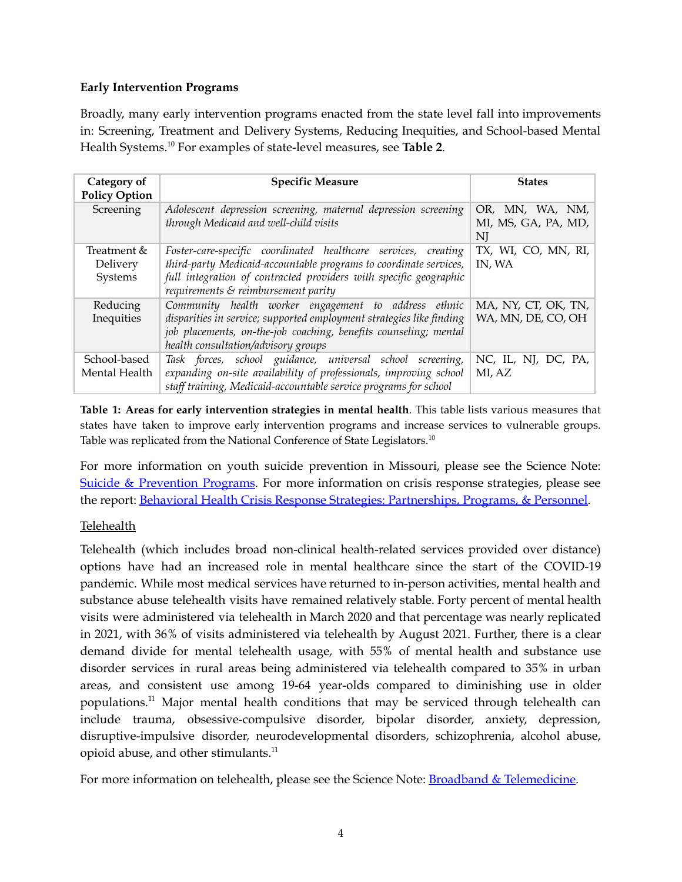#### **Early Intervention Programs**

Broadly, many early intervention programs enacted from the state level fall into improvements in: Screening, Treatment and Delivery Systems, Reducing Inequities, and School-based Mental Health Systems. <sup>10</sup> For examples of state-level measures, see **Table 2**.

| Category of<br><b>Policy Option</b> | <b>Specific Measure</b>                                                                                  | <b>States</b>                                |
|-------------------------------------|----------------------------------------------------------------------------------------------------------|----------------------------------------------|
| Screening                           | Adolescent depression screening, maternal depression screening<br>through Medicaid and well-child visits | OR, MN, WA, NM,<br>MI, MS, GA, PA, MD,<br>NI |
| Treatment &                         | Foster-care-specific coordinated healthcare services, creating                                           | TX, WI, CO, MN, RI,                          |
| Delivery                            | third-party Medicaid-accountable programs to coordinate services,                                        | IN, WA                                       |
| Systems                             | full integration of contracted providers with specific geographic                                        |                                              |
|                                     | requirements $\varepsilon$ reimbursement parity                                                          |                                              |
| Reducing                            | Community health worker engagement to address ethnic                                                     | MA, NY, CT, OK, TN,                          |
| Inequities                          | disparities in service; supported employment strategies like finding                                     | WA, MN, DE, CO, OH                           |
|                                     | job placements, on-the-job coaching, benefits counseling; mental                                         |                                              |
|                                     | health consultation/advisory groups                                                                      |                                              |
| School-based                        | Task forces, school guidance, universal school screening,                                                | NC, IL, NJ, DC, PA,                          |
| Mental Health                       | expanding on-site availability of professionals, improving school                                        | MI, AZ                                       |
|                                     | staff training, Medicaid-accountable service programs for school                                         |                                              |

**Table 1: Areas for early intervention strategies in mental health**. This table lists various measures that states have taken to improve early intervention programs and increase services to vulnerable groups. Table was replicated from the National Conference of State Legislators.<sup>10</sup>

For more information on youth suicide prevention in Missouri, please see the Science Note: Suicide & [Prevention](https://mostpolicyinitiative.org/science-note/suicide-education-prevention-programs/) Programs. For more information on crisis response strategies, please see the report: Behavioral Health Crisis Response Strategies: [Partnerships,](https://mostpolicyinitiative.org/wp-content/uploads/2022/01/MOST-Policy-Initiative-Behavioral-Health-Crisis-Response-Strategies-Report.pdf) Programs, & Personnel.

## Telehealth

Telehealth (which includes broad non-clinical health-related services provided over distance) options have had an increased role in mental healthcare since the start of the COVID-19 pandemic. While most medical services have returned to in-person activities, mental health and substance abuse telehealth visits have remained relatively stable. Forty percent of mental health visits were administered via telehealth in March 2020 and that percentage was nearly replicated in 2021, with 36% of visits administered via telehealth by August 2021. Further, there is a clear demand divide for mental telehealth usage, with 55% of mental health and substance use disorder services in rural areas being administered via telehealth compared to 35% in urban areas, and consistent use among 19-64 year-olds compared to diminishing use in older populations. <sup>11</sup> Major mental health conditions that may be serviced through telehealth can include trauma, obsessive-compulsive disorder, bipolar disorder, anxiety, depression, disruptive-impulsive disorder, neurodevelopmental disorders, schizophrenia, alcohol abuse, opioid abuse, and other stimulants.<sup>11</sup>

For more information on telehealth, please see the Science Note: **Broadband & [Telemedicine](https://mostpolicyinitiative.org/science-note/broadband-and-telemedicine/)**.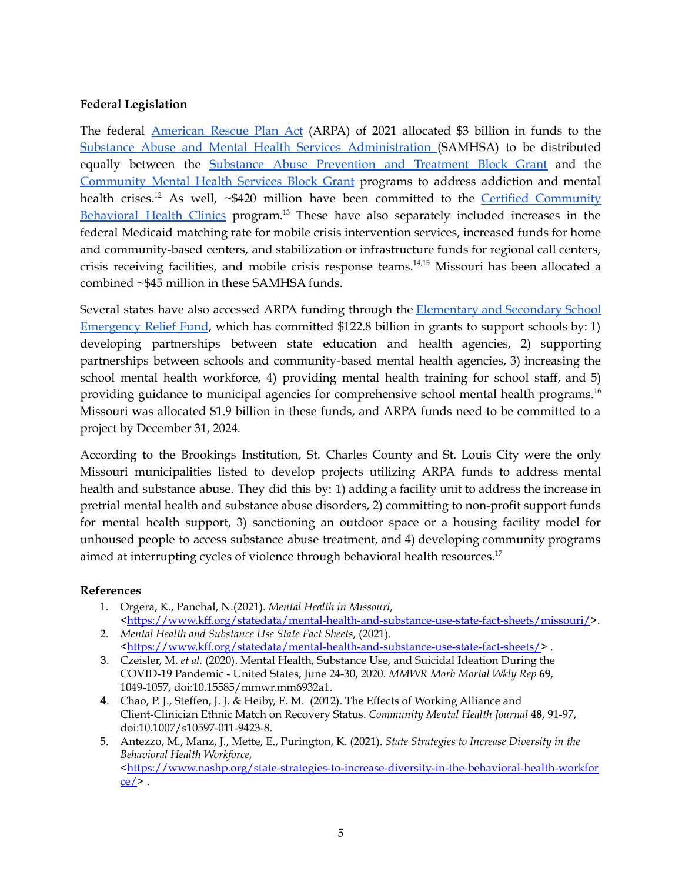#### **Federal Legislation**

The federal [American](https://www.congress.gov/bill/117th-congress/house-bill/1319/text) Rescue Plan Act (ARPA) of 2021 allocated \$3 billion in funds to the Substance Abuse and Mental Health Services [Administration](https://www.samhsa.gov/) (SAMHSA) to be distributed equally between the Substance Abuse [Prevention](https://www.samhsa.gov/grants/block-grants/sabg) and Treatment Block Grant and the [Community](https://www.samhsa.gov/grants/block-grants/mhbg) Mental Health Services Block Grant programs to address addiction and mental health crises.<sup>12</sup> As well, ~\$420 million have been committed to the <u>Certified [Community](https://dmh.mo.gov/certified-community-behavioral-health)</u> [Behavioral](https://dmh.mo.gov/certified-community-behavioral-health) Health Clinics program.<sup>13</sup> These have also separately included increases in the federal Medicaid matching rate for mobile crisis intervention services, increased funds for home and community-based centers, and stabilization or infrastructure funds for regional call centers, crisis receiving facilities, and mobile crisis response teams. 14,15 Missouri has been allocated a combined ~\$45 million in these SAMHSA funds.

Several states have also accessed ARPA funding through the **[Elementary](https://oese.ed.gov/offices/education-stabilization-fund/elementary-secondary-school-emergency-relief-fund/) and Secondary School** [Emergency](https://oese.ed.gov/offices/education-stabilization-fund/elementary-secondary-school-emergency-relief-fund/) Relief Fund, which has committed \$122.8 billion in grants to support schools by: 1) developing partnerships between state education and health agencies, 2) supporting partnerships between schools and community-based mental health agencies, 3) increasing the school mental health workforce, 4) providing mental health training for school staff, and 5) providing guidance to municipal agencies for comprehensive school mental health programs. 16 Missouri was allocated \$1.9 billion in these funds, and ARPA funds need to be committed to a project by December 31, 2024.

According to the Brookings Institution, St. Charles County and St. Louis City were the only Missouri municipalities listed to develop projects utilizing ARPA funds to address mental health and substance abuse. They did this by: 1) adding a facility unit to address the increase in pretrial mental health and substance abuse disorders, 2) committing to non-profit support funds for mental health support, 3) sanctioning an outdoor space or a housing facility model for unhoused people to access substance abuse treatment, and 4) developing community programs aimed at interrupting cycles of violence through behavioral health resources.<sup>17</sup>

#### **References**

- 1. Orgera, K., Panchal, N.(2021). *Mental Health in Missouri*, [<https://www.kff.org/statedata/mental-health-and-substance-use-state-fact-sheets/missouri/](https://www.kff.org/statedata/mental-health-and-substance-use-state-fact-sheets/missouri/)>.
- 2. *Mental Health and Substance Use State Fact Sheets*, (2021). [<https://www.kff.org/statedata/mental-health-and-substance-use-state-fact-sheets/>](https://www.kff.org/statedata/mental-health-and-substance-use-state-fact-sheets/).
- 3. Czeisler, M. *et al.* (2020). Mental Health, Substance Use, and Suicidal Ideation During the COVID-19 Pandemic - United States, June 24-30, 2020. *MMWR Morb Mortal Wkly Rep* **69**, 1049-1057, doi:10.15585/mmwr.mm6932a1.
- 4. Chao, P. J., Steffen, J. J. & Heiby, E. M. (2012). The Effects of Working Alliance and Client-Clinician Ethnic Match on Recovery Status. *Community Mental Health Journal* **48**, 91-97, doi:10.1007/s10597-011-9423-8.
- 5. Antezzo, M., Manz, J., Mette, E., Purington, K. (2021). *State Strategies to Increase Diversity in the Behavioral Health Workforce*, [<https://www.nashp.org/state-strategies-to-increase-diversity-in-the-behavioral-health-workfor](https://www.nashp.org/state-strategies-to-increase-diversity-in-the-behavioral-health-workforce/)  $ce \rightarrow$ .